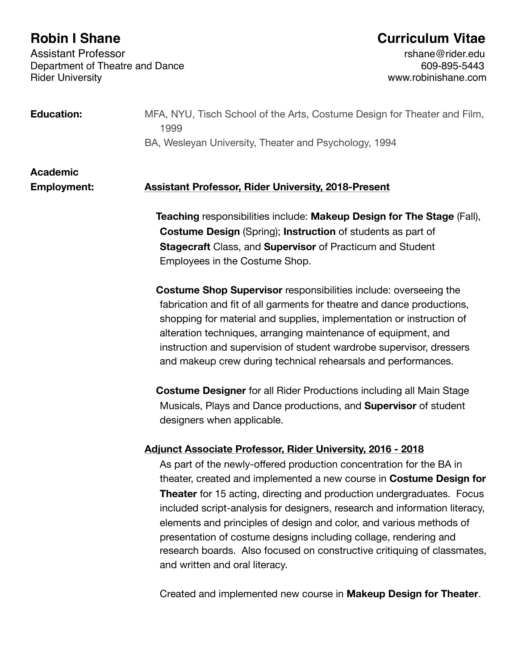Assistant Professor<br>Department of Theatre and Dance<br>609-895-5443 609-895-5443 Department of Theatre and Dance<br>Rider University

# **Robin I Shane Curriculum Vitae**

www.robinishane.com

| <b>Education:</b>  | MFA, NYU, Tisch School of the Arts, Costume Design for Theater and Film,<br>1999                                                                                                                                                                                                                                                                                                                                                                                                                                                                                 |
|--------------------|------------------------------------------------------------------------------------------------------------------------------------------------------------------------------------------------------------------------------------------------------------------------------------------------------------------------------------------------------------------------------------------------------------------------------------------------------------------------------------------------------------------------------------------------------------------|
|                    | BA, Wesleyan University, Theater and Psychology, 1994                                                                                                                                                                                                                                                                                                                                                                                                                                                                                                            |
| <b>Academic</b>    |                                                                                                                                                                                                                                                                                                                                                                                                                                                                                                                                                                  |
| <b>Employment:</b> | <b>Assistant Professor, Rider University, 2018-Present</b>                                                                                                                                                                                                                                                                                                                                                                                                                                                                                                       |
|                    | Teaching responsibilities include: Makeup Design for The Stage (Fall),<br><b>Costume Design (Spring); Instruction of students as part of</b><br><b>Stagecraft Class, and Supervisor of Practicum and Student</b><br>Employees in the Costume Shop.                                                                                                                                                                                                                                                                                                               |
|                    | <b>Costume Shop Supervisor responsibilities include: overseeing the</b><br>fabrication and fit of all garments for theatre and dance productions,<br>shopping for material and supplies, implementation or instruction of<br>alteration techniques, arranging maintenance of equipment, and<br>instruction and supervision of student wardrobe supervisor, dressers<br>and makeup crew during technical rehearsals and performances.                                                                                                                             |
|                    | <b>Costume Designer</b> for all Rider Productions including all Main Stage<br>Musicals, Plays and Dance productions, and <b>Supervisor</b> of student<br>designers when applicable.                                                                                                                                                                                                                                                                                                                                                                              |
|                    | <b>Adjunct Associate Professor, Rider University, 2016 - 2018</b>                                                                                                                                                                                                                                                                                                                                                                                                                                                                                                |
|                    | As part of the newly-offered production concentration for the BA in<br>theater, created and implemented a new course in Costume Design for<br><b>Theater</b> for 15 acting, directing and production undergraduates. Focus<br>included script-analysis for designers, research and information literacy,<br>elements and principles of design and color, and various methods of<br>presentation of costume designs including collage, rendering and<br>research boards. Also focused on constructive critiquing of classmates,<br>and written and oral literacy. |
|                    | Created and implemented new course in Makeup Design for Theater.                                                                                                                                                                                                                                                                                                                                                                                                                                                                                                 |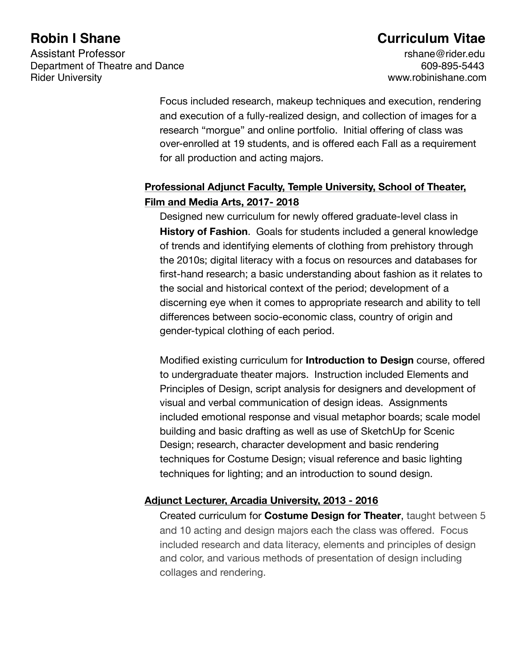## **Robin I Shane Curriculum Vitae**

Focus included research, makeup techniques and execution, rendering and execution of a fully-realized design, and collection of images for a research "morgue" and online portfolio. Initial offering of class was over-enrolled at 19 students, and is offered each Fall as a requirement for all production and acting majors.

## **Professional Adjunct Faculty, Temple University, School of Theater, Film and Media Arts, 2017- 2018**

 Designed new curriculum for newly offered graduate-level class in **History of Fashion**. Goals for students included a general knowledge of trends and identifying elements of clothing from prehistory through the 2010s; digital literacy with a focus on resources and databases for first-hand research; a basic understanding about fashion as it relates to the social and historical context of the period; development of a discerning eye when it comes to appropriate research and ability to tell differences between socio-economic class, country of origin and gender-typical clothing of each period.

 Modified existing curriculum for **Introduction to Design** course, offered to undergraduate theater majors. Instruction included Elements and Principles of Design, script analysis for designers and development of visual and verbal communication of design ideas. Assignments included emotional response and visual metaphor boards; scale model building and basic drafting as well as use of SketchUp for Scenic Design; research, character development and basic rendering techniques for Costume Design; visual reference and basic lighting techniques for lighting; and an introduction to sound design.

### **Adjunct Lecturer, Arcadia University, 2013 - 2016**

 Created curriculum for **Costume Design for Theater**, taught between 5 and 10 acting and design majors each the class was offered. Focus included research and data literacy, elements and principles of design and color, and various methods of presentation of design including collages and rendering.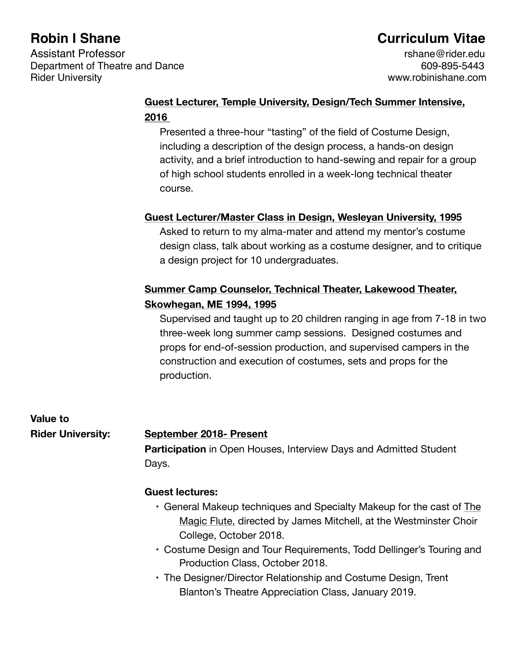# **Robin I Shane Curriculum Vitae**

## **Guest Lecturer, Temple University, Design/Tech Summer Intensive, 2016**

 Presented a three-hour "tasting" of the field of Costume Design, including a description of the design process, a hands-on design activity, and a brief introduction to hand-sewing and repair for a group of high school students enrolled in a week-long technical theater course.

### **Guest Lecturer/Master Class in Design, Wesleyan University, 1995**

 Asked to return to my alma-mater and attend my mentor's costume design class, talk about working as a costume designer, and to critique a design project for 10 undergraduates.

## **Summer Camp Counselor, Technical Theater, Lakewood Theater, Skowhegan, ME 1994, 1995**

 Supervised and taught up to 20 children ranging in age from 7-18 in two three-week long summer camp sessions. Designed costumes and props for end-of-session production, and supervised campers in the construction and execution of costumes, sets and props for the production.

**Value to** 

### **Rider University: September 2018- Present**

**Participation** in Open Houses, Interview Days and Admitted Student Days.

### **Guest lectures:**

- General Makeup techniques and Specialty Makeup for the cast of The Magic Flute, directed by James Mitchell, at the Westminster Choir College, October 2018.
- Costume Design and Tour Requirements, Todd Dellinger's Touring and Production Class, October 2018.
- The Designer/Director Relationship and Costume Design, Trent Blanton's Theatre Appreciation Class, January 2019.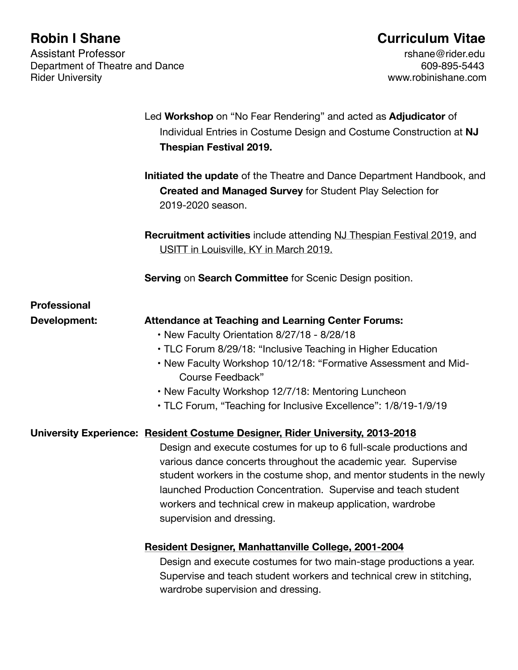Assistant Professor<br>Department of Theatre and Dance<br>609-895-5443 609-895-5443 Department of Theatre and Dance<br>Rider University

# **Robin I Shane Curriculum Vitae**

www.robinishane.com

|                     | Led Workshop on "No Fear Rendering" and acted as Adjudicator of<br>Individual Entries in Costume Design and Costume Construction at NJ<br><b>Thespian Festival 2019.</b>                                                                                                                                                                                                                                                                                    |
|---------------------|-------------------------------------------------------------------------------------------------------------------------------------------------------------------------------------------------------------------------------------------------------------------------------------------------------------------------------------------------------------------------------------------------------------------------------------------------------------|
|                     | Initiated the update of the Theatre and Dance Department Handbook, and<br><b>Created and Managed Survey for Student Play Selection for</b><br>2019-2020 season.                                                                                                                                                                                                                                                                                             |
|                     | <b>Recruitment activities include attending NJ Thespian Festival 2019, and</b><br>USITT in Louisville, KY in March 2019.                                                                                                                                                                                                                                                                                                                                    |
|                     | Serving on Search Committee for Scenic Design position.                                                                                                                                                                                                                                                                                                                                                                                                     |
| <b>Professional</b> |                                                                                                                                                                                                                                                                                                                                                                                                                                                             |
| Development:        | <b>Attendance at Teaching and Learning Center Forums:</b><br>• New Faculty Orientation 8/27/18 - 8/28/18<br>• TLC Forum 8/29/18: "Inclusive Teaching in Higher Education<br>. New Faculty Workshop 10/12/18: "Formative Assessment and Mid-<br>Course Feedback"<br>• New Faculty Workshop 12/7/18: Mentoring Luncheon<br>• TLC Forum, "Teaching for Inclusive Excellence": 1/8/19-1/9/19                                                                    |
|                     | University Experience: Resident Costume Designer, Rider University, 2013-2018<br>Design and execute costumes for up to 6 full-scale productions and<br>various dance concerts throughout the academic year. Supervise<br>student workers in the costume shop, and mentor students in the newly<br>launched Production Concentration. Supervise and teach student<br>workers and technical crew in makeup application, wardrobe<br>supervision and dressing. |
|                     | <b>Resident Designer, Manhattanville College, 2001-2004</b><br>Design and execute costumes for two main-stage productions a year.<br>Supervise and teach student workers and technical crew in stitching,<br>wardrobe supervision and dressing.                                                                                                                                                                                                             |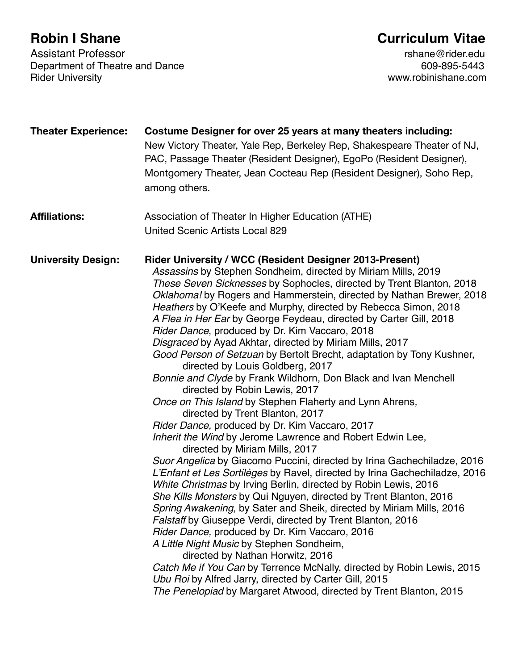Assistant Professor<br>Department of Theatre and Dance<br>609-895-5443 609-895-5443 Department of Theatre and Dance<br>Rider University

# **Robin I Shane Curriculum Vitae**

www.robinishane.com

| <b>Theater Experience:</b> | Costume Designer for over 25 years at many theaters including:<br>New Victory Theater, Yale Rep, Berkeley Rep, Shakespeare Theater of NJ,<br>PAC, Passage Theater (Resident Designer), EgoPo (Resident Designer),<br>Montgomery Theater, Jean Cocteau Rep (Resident Designer), Soho Rep,<br>among others.                                                                                                                                                                                                                                                                                                                                                                                                                                                                                                                                                                                                                                                                                                                                                                                                                                                                                                                                                                                                                                                                                                                                                                                                                                                                                                                                                                                                                                                                                    |
|----------------------------|----------------------------------------------------------------------------------------------------------------------------------------------------------------------------------------------------------------------------------------------------------------------------------------------------------------------------------------------------------------------------------------------------------------------------------------------------------------------------------------------------------------------------------------------------------------------------------------------------------------------------------------------------------------------------------------------------------------------------------------------------------------------------------------------------------------------------------------------------------------------------------------------------------------------------------------------------------------------------------------------------------------------------------------------------------------------------------------------------------------------------------------------------------------------------------------------------------------------------------------------------------------------------------------------------------------------------------------------------------------------------------------------------------------------------------------------------------------------------------------------------------------------------------------------------------------------------------------------------------------------------------------------------------------------------------------------------------------------------------------------------------------------------------------------|
| <b>Affiliations:</b>       | Association of Theater In Higher Education (ATHE)<br><b>United Scenic Artists Local 829</b>                                                                                                                                                                                                                                                                                                                                                                                                                                                                                                                                                                                                                                                                                                                                                                                                                                                                                                                                                                                                                                                                                                                                                                                                                                                                                                                                                                                                                                                                                                                                                                                                                                                                                                  |
| <b>University Design:</b>  | Rider University / WCC (Resident Designer 2013-Present)<br>Assassins by Stephen Sondheim, directed by Miriam Mills, 2019<br>These Seven Sicknesses by Sophocles, directed by Trent Blanton, 2018<br>Oklahoma! by Rogers and Hammerstein, directed by Nathan Brewer, 2018<br>Heathers by O'Keefe and Murphy, directed by Rebecca Simon, 2018<br>A Flea in Her Ear by George Feydeau, directed by Carter Gill, 2018<br>Rider Dance, produced by Dr. Kim Vaccaro, 2018<br>Disgraced by Ayad Akhtar, directed by Miriam Mills, 2017<br>Good Person of Setzuan by Bertolt Brecht, adaptation by Tony Kushner,<br>directed by Louis Goldberg, 2017<br>Bonnie and Clyde by Frank Wildhorn, Don Black and Ivan Menchell<br>directed by Robin Lewis, 2017<br>Once on This Island by Stephen Flaherty and Lynn Ahrens,<br>directed by Trent Blanton, 2017<br>Rider Dance, produced by Dr. Kim Vaccaro, 2017<br>Inherit the Wind by Jerome Lawrence and Robert Edwin Lee,<br>directed by Miriam Mills, 2017<br>Suor Angelica by Giacomo Puccini, directed by Irina Gachechiladze, 2016<br>L'Enfant et Les Sortilèges by Ravel, directed by Irina Gachechiladze, 2016<br>White Christmas by Irving Berlin, directed by Robin Lewis, 2016<br>She Kills Monsters by Qui Nguyen, directed by Trent Blanton, 2016<br>Spring Awakening, by Sater and Sheik, directed by Miriam Mills, 2016<br><b>Falstaff by Giuseppe Verdi, directed by Trent Blanton, 2016</b><br>Rider Dance, produced by Dr. Kim Vaccaro, 2016<br>A Little Night Music by Stephen Sondheim,<br>directed by Nathan Horwitz, 2016<br>Catch Me if You Can by Terrence McNally, directed by Robin Lewis, 2015<br>Ubu Roi by Alfred Jarry, directed by Carter Gill, 2015<br>The Penelopiad by Margaret Atwood, directed by Trent Blanton, 2015 |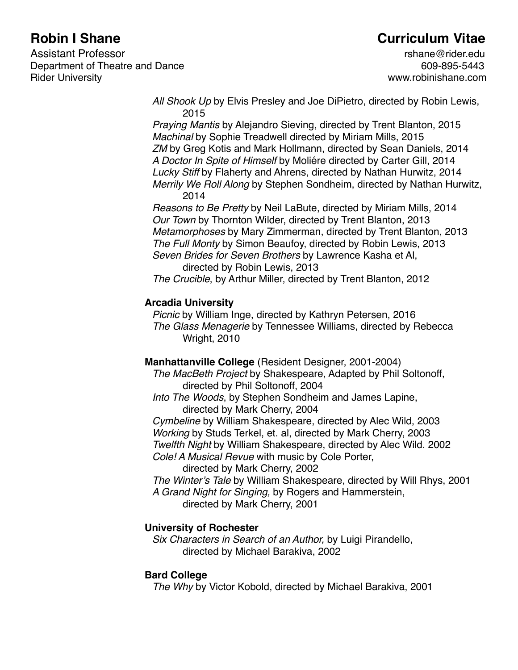## **Robin I Shane Curriculum Vitae**

*All Shook Up* by Elvis Presley and Joe DiPietro, directed by Robin Lewis, 2015

*Praying Mantis* by Alejandro Sieving, directed by Trent Blanton, 2015 *Machinal* by Sophie Treadwell directed by Miriam Mills, 2015 *ZM* by Greg Kotis and Mark Hollmann, directed by Sean Daniels, 2014 *A Doctor In Spite of Himself* by Moliére directed by Carter Gill, 2014 *Lucky Stiff* by Flaherty and Ahrens, directed by Nathan Hurwitz, 2014 *Merrily We Roll Along* by Stephen Sondheim, directed by Nathan Hurwitz, 2014

*Reasons to Be Pretty* by Neil LaBute, directed by Miriam Mills, 2014 *Our Town* by Thornton Wilder, directed by Trent Blanton, 2013 *Metamorphoses* by Mary Zimmerman, directed by Trent Blanton, 2013 *The Full Monty* by Simon Beaufoy, directed by Robin Lewis, 2013 *Seven Brides for Seven Brothers* by Lawrence Kasha et Al, directed by Robin Lewis, 2013

*The Crucible*, by Arthur Miller, directed by Trent Blanton, 2012

#### **Arcadia University**

*Picnic* by William Inge, directed by Kathryn Petersen, 2016 *The Glass Menagerie* by Tennessee Williams, directed by Rebecca Wright, 2010

**Manhattanville College** (Resident Designer, 2001-2004)

*The MacBeth Project* by Shakespeare, Adapted by Phil Soltonoff, directed by Phil Soltonoff, 2004

*Into The Woods*, by Stephen Sondheim and James Lapine, directed by Mark Cherry, 2004

*Cymbeline* by William Shakespeare, directed by Alec Wild, 2003 *Working* by Studs Terkel, et. al, directed by Mark Cherry, 2003 *Twelfth Night* by William Shakespeare, directed by Alec Wild. 2002 *Cole! A Musical Revue* with music by Cole Porter,

directed by Mark Cherry, 2002

*The Winter's Tale* by William Shakespeare, directed by Will Rhys, 2001 *A Grand Night for Singing,* by Rogers and Hammerstein, directed by Mark Cherry, 2001

### **University of Rochester**

*Six Characters in Search of an Author,* by Luigi Pirandello, directed by Michael Barakiva, 2002

#### **Bard College**

*The Why* by Victor Kobold, directed by Michael Barakiva, 2001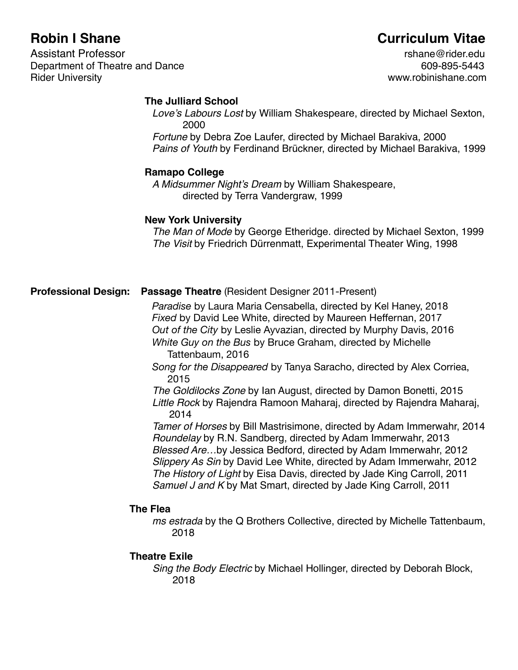# **Robin I Shane Curriculum Vitae**

#### **The Julliard School**

*Love's Labours Lost* by William Shakespeare, directed by Michael Sexton, 2000

*Fortune* by Debra Zoe Laufer, directed by Michael Barakiva, 2000 *Pains of Youth* by Ferdinand Brückner, directed by Michael Barakiva, 1999

#### **Ramapo College**

*A Midsummer Night's Dream* by William Shakespeare, directed by Terra Vandergraw, 1999

#### **New York University**

*The Man of Mode* by George Etheridge. directed by Michael Sexton, 1999 *The Visit* by Friedrich Dürrenmatt, Experimental Theater Wing, 1998

#### **Professional Design: Passage Theatre** (Resident Designer 2011-Present)

 *Paradise* by Laura Maria Censabella, directed by Kel Haney, 2018 *Fixed* by David Lee White, directed by Maureen Heffernan, 2017 *Out of the City* by Leslie Ayvazian, directed by Murphy Davis, 2016 *White Guy on the Bus* by Bruce Graham, directed by Michelle Tattenbaum, 2016

*Song for the Disappeared* by Tanya Saracho, directed by Alex Corriea, 2015

*The Goldilocks Zone* by Ian August, directed by Damon Bonetti, 2015 *Little Rock* by Rajendra Ramoon Maharaj, directed by Rajendra Maharaj, 2014

*Tamer of Horses* by Bill Mastrisimone, directed by Adam Immerwahr, 2014 *Roundelay* by R.N. Sandberg, directed by Adam Immerwahr, 2013 *Blessed Are…*by Jessica Bedford, directed by Adam Immerwahr, 2012 *Slippery As Sin* by David Lee White, directed by Adam Immerwahr, 2012 *The History of Light* by Eisa Davis, directed by Jade King Carroll, 2011 *Samuel J and K* by Mat Smart, directed by Jade King Carroll, 2011

#### **The Flea**

*ms estrada* by the Q Brothers Collective, directed by Michelle Tattenbaum, 2018

#### **Theatre Exile**

*Sing the Body Electric* by Michael Hollinger, directed by Deborah Block, 2018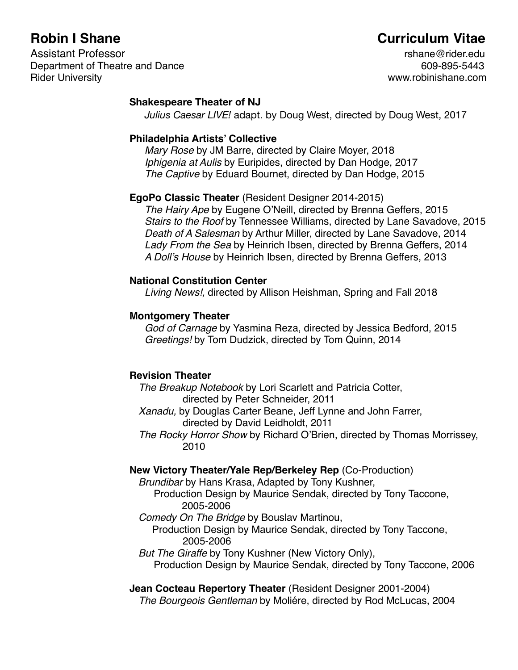## **Robin I Shane Curriculum Vitae**

#### **Shakespeare Theater of NJ**

*Julius Caesar LIVE!* adapt. by Doug West, directed by Doug West, 2017

#### **Philadelphia Artists' Collective**

*Mary Rose* by JM Barre, directed by Claire Moyer, 2018 *Iphigenia at Aulis* by Euripides, directed by Dan Hodge, 2017 *The Captive* by Eduard Bournet, directed by Dan Hodge, 2015

### **EgoPo Classic Theater** (Resident Designer 2014-2015)

*The Hairy Ape* by Eugene O'Neill, directed by Brenna Geffers, 2015 *Stairs to the Roof* by Tennessee Williams, directed by Lane Savadove, 2015 *Death of A Salesman* by Arthur Miller, directed by Lane Savadove, 2014 *Lady From the Sea* by Heinrich Ibsen, directed by Brenna Geffers, 2014 *A Doll's House* by Heinrich Ibsen, directed by Brenna Geffers, 2013

#### **National Constitution Center**

*Living News!,* directed by Allison Heishman, Spring and Fall 2018

#### **Montgomery Theater**

*God of Carnage* by Yasmina Reza, directed by Jessica Bedford, 2015 *Greetings!* by Tom Dudzick, directed by Tom Quinn, 2014

### **Revision Theater**

*The Breakup Notebook* by Lori Scarlett and Patricia Cotter, directed by Peter Schneider, 2011

*Xanadu,* by Douglas Carter Beane, Jeff Lynne and John Farrer, directed by David Leidholdt, 2011

*The Rocky Horror Show* by Richard O'Brien, directed by Thomas Morrissey, 2010

### **New Victory Theater/Yale Rep/Berkeley Rep** (Co-Production)

*Brundibar* by Hans Krasa, Adapted by Tony Kushner,

Production Design by Maurice Sendak, directed by Tony Taccone, 2005-2006

- *Comedy On The Bridge* by Bouslav Martinou,
	- Production Design by Maurice Sendak, directed by Tony Taccone, 2005-2006
- *But The Giraffe* by Tony Kushner (New Victory Only),

Production Design by Maurice Sendak, directed by Tony Taccone, 2006

## **Jean Cocteau Repertory Theater** (Resident Designer 2001-2004)

*The Bourgeois Gentleman* by Moliére, directed by Rod McLucas, 2004